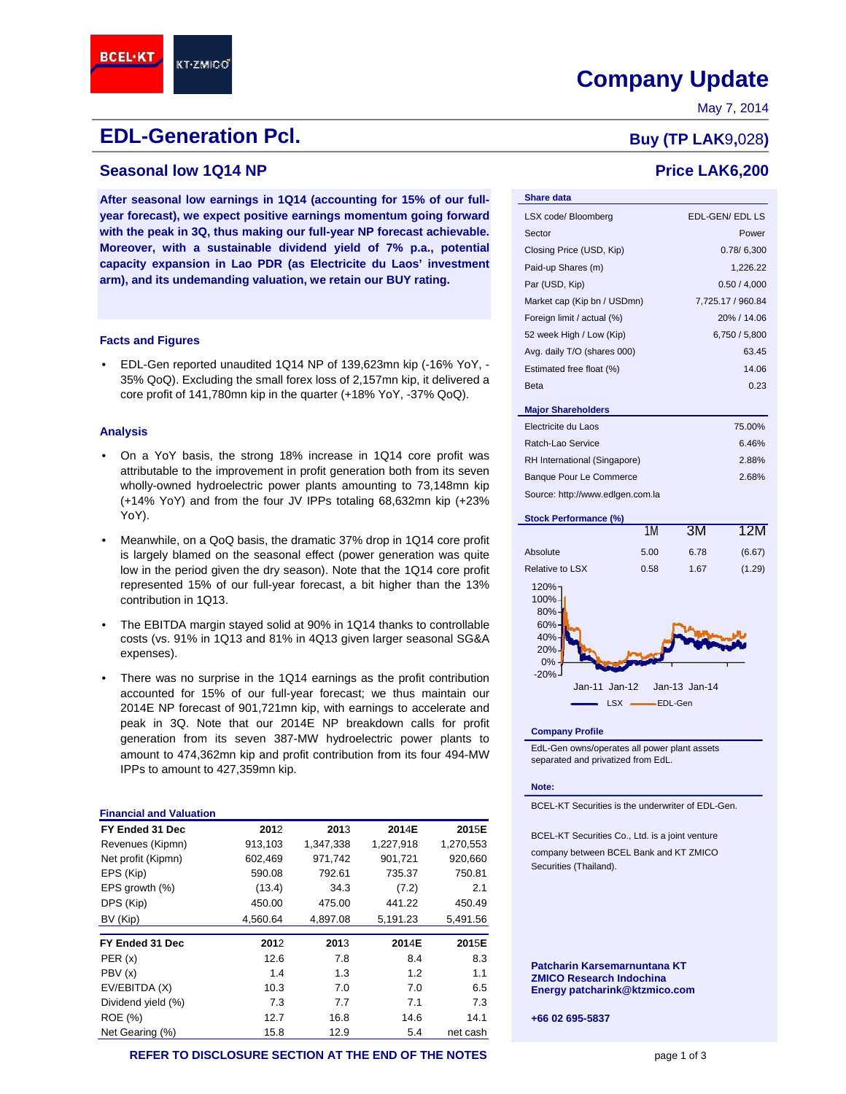# **Company Update** Company Update

May 7, 2014

# **EDL-Generation Pcl. Buy (TP LAK**9,028)

# **Seasonal low 1Q14 NP Price LAK6,200**

**After seasonal low earnings in 1Q14 (accounting for 15% of our fullyear forecast), we expect positive earnings momentum going forward with the peak in 3Q, thus making our full-year NP forecast achievable. Moreover, with a sustainable dividend yield of 7% p.a., potential capacity expansion in Lao PDR (as Electricite du Laos' investment arm), and its undemanding valuation, we retain our BUY rating.**

#### **Facts and Figures**

• EDL-Gen reported unaudited 1Q14 NP of 139,623mn kip (-16% YoY, - 35% QoQ). Excluding the small forex loss of 2,157mn kip, it delivered a core profit of 141,780mn kip in the quarter (+18% YoY, -37% QoQ).

### **Analysis**

**BCEL·KT** 

- On a YoY basis, the strong 18% increase in 1Q14 core profit was attributable to the improvement in profit generation both from its seven wholly-owned hydroelectric power plants amounting to 73,148mn kip (+14% YoY) and from the four JV IPPs totaling 68,632mn kip (+23% YoY).
- Meanwhile, on a QoQ basis, the dramatic 37% drop in 1Q14 core profit is largely blamed on the seasonal effect (power generation was quite low in the period given the dry season). Note that the 1Q14 core profit represented 15% of our full-year forecast, a bit higher than the 13% contribution in 1Q13.
- The EBITDA margin stayed solid at 90% in 1Q14 thanks to controllable costs (vs. 91% in 1Q13 and 81% in 4Q13 given larger seasonal SG&A expenses).
- There was no surprise in the 1Q14 earnings as the profit contribution accounted for 15% of our full-year forecast; we thus maintain our 2014E NP forecast of 901,721mn kip, with earnings to accelerate and peak in 3Q. Note that our 2014E NP breakdown calls for profit generation from its seven 387-MW hydroelectric power plants to amount to 474,362mn kip and profit contribution from its four 494-MW IPPs to amount to 427,359mn kip.

| <b>Financial and Valuation</b> |          |           |           |           |
|--------------------------------|----------|-----------|-----------|-----------|
| FY Ended 31 Dec                | 2012     | 2013      | 2014E     | 2015E     |
| Revenues (Kipmn)               | 913,103  | 1,347,338 | 1,227,918 | 1,270,553 |
| Net profit (Kipmn)             | 602,469  | 971,742   | 901,721   | 920,660   |
| EPS (Kip)                      | 590.08   | 792.61    | 735.37    | 750.81    |
| EPS growth (%)                 | (13.4)   | 34.3      | (7.2)     | 2.1       |
| DPS (Kip)                      | 450.00   | 475.00    | 441.22    | 450.49    |
| BV (Kip)                       | 4,560.64 | 4,897.08  | 5,191.23  | 5,491.56  |
| FY Ended 31 Dec                | 2012     | 2013      | 2014E     | 2015E     |
| PER(x)                         | 12.6     | 7.8       | 8.4       | 8.3       |
| PBV (x)                        | 1.4      | 1.3       | 1.2       | 1.1       |
| EV/EBITDA (X)                  | 10.3     | 7.0       | 7.0       | 6.5       |
| Dividend yield (%)             | 7.3      | 7.7       | 7.1       | 7.3       |
| <b>ROE</b> (%)                 | 12.7     | 16.8      | 14.6      | 14.1      |
| Net Gearing (%)                | 15.8     | 12.9      | 5.4       | net cash  |

| <b>Share data</b>                     |                   |
|---------------------------------------|-------------------|
| LSX code/ Bloomberg                   | EDL-GEN/EDLLS     |
| Sector                                | Power             |
| Closing Price (USD, Kip)              | 0.78/6,300        |
| Paid-up Shares (m)                    | 1,226.22          |
| Par (USD, Kip)                        | 0.50 / 4,000      |
| Market cap (Kip bn / USDmn)           | 7,725.17 / 960.84 |
| Foreign limit / actual (%)            | 20% / 14.06       |
| 52 week High / Low (Kip)              | 6,750 / 5,800     |
| Avg. daily T/O (shares 000)           | 63.45             |
| Estimated free float (%)              | 14.06             |
| <b>Beta</b>                           | 0.23              |
| <b>Major Shareholders</b>             |                   |
| Electricite du Laos                   | 75.00%            |
| Ratch-Lao Service                     | 6.46%             |
| <b>RH International (Singapore)</b>   | 2.88%             |
| <b>Banque Pour Le Commerce</b>        | 2.68%             |
| Source: http://www.edlgen.com.la      |                   |
| <b>Stock Performance (%)</b><br>4 N A | 10M<br><b>ON</b>  |



#### **Company Profile**

EdL-Gen owns/operates all power plant assets separated and privatized from EdL.

#### **Note:**

BCEL-KT Securities is the underwriter of EDL-Gen.

BCEL-KT Securities Co., Ltd. is a joint venture company between BCEL Bank and KT ZMICO Securities (Thailand).

**Patcharin Karsemarnuntana KT ZMICO Research Indochina Energy patcharink@ktzmico.com**

**+66 02 695-5837**

#### **REFER TO DISCLOSURE SECTION AT THE END OF THE NOTES page 1 of 3** page 1 of 3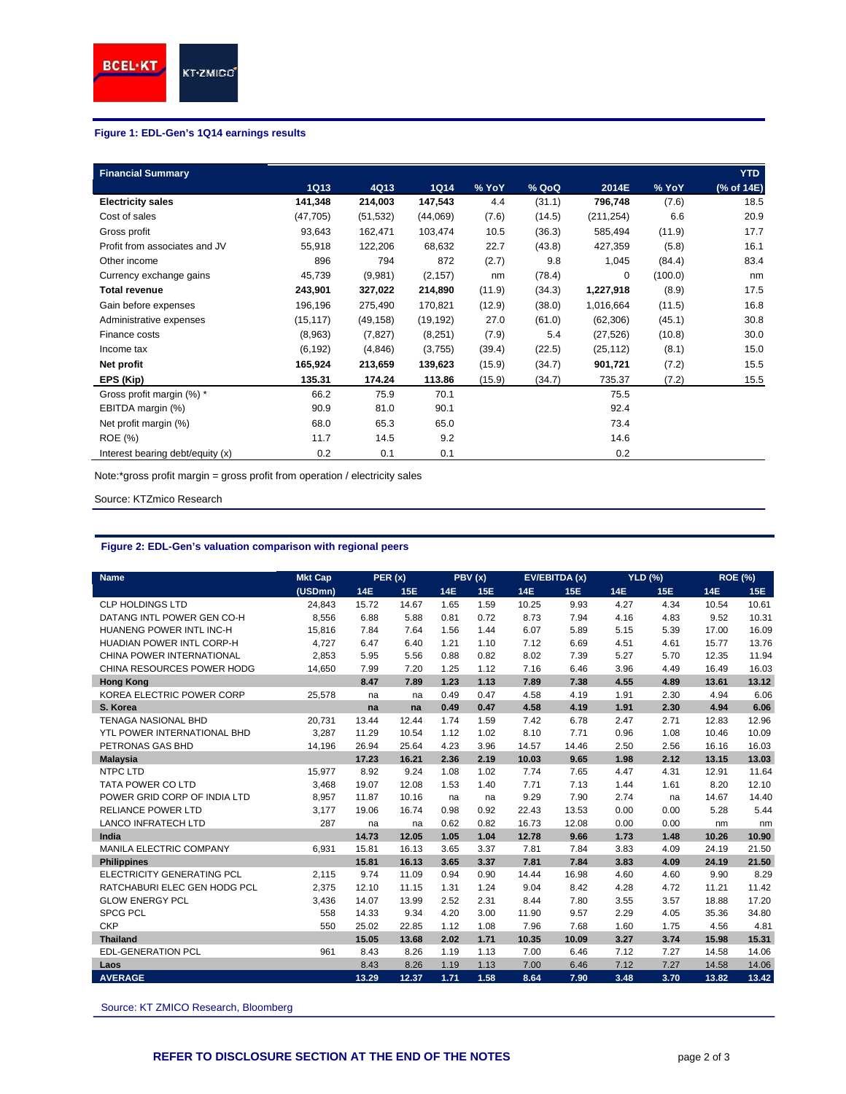# **Figure 1: EDL-Gen's 1Q14 earnings results**

| <b>Financial Summary</b>         |             |           |             |        |        |            |         | <b>YTD</b> |
|----------------------------------|-------------|-----------|-------------|--------|--------|------------|---------|------------|
|                                  | <b>1Q13</b> | 4Q13      | <b>1Q14</b> | % YoY  | % QoQ  | 2014E      | % YoY   | (% of 14E) |
| <b>Electricity sales</b>         | 141,348     | 214,003   | 147,543     | 4.4    | (31.1) | 796,748    | (7.6)   | 18.5       |
| Cost of sales                    | (47, 705)   | (51, 532) | (44,069)    | (7.6)  | (14.5) | (211, 254) | 6.6     | 20.9       |
| Gross profit                     | 93,643      | 162,471   | 103,474     | 10.5   | (36.3) | 585,494    | (11.9)  | 17.7       |
| Profit from associates and JV    | 55,918      | 122,206   | 68,632      | 22.7   | (43.8) | 427,359    | (5.8)   | 16.1       |
| Other income                     | 896         | 794       | 872         | (2.7)  | 9.8    | 1,045      | (84.4)  | 83.4       |
| Currency exchange gains          | 45,739      | (9,981)   | (2, 157)    | nm     | (78.4) | 0          | (100.0) | nm         |
| <b>Total revenue</b>             | 243,901     | 327,022   | 214,890     | (11.9) | (34.3) | 1,227,918  | (8.9)   | 17.5       |
| Gain before expenses             | 196,196     | 275,490   | 170,821     | (12.9) | (38.0) | 1,016,664  | (11.5)  | 16.8       |
| Administrative expenses          | (15, 117)   | (49, 158) | (19, 192)   | 27.0   | (61.0) | (62, 306)  | (45.1)  | 30.8       |
| Finance costs                    | (8,963)     | (7, 827)  | (8,251)     | (7.9)  | 5.4    | (27, 526)  | (10.8)  | 30.0       |
| Income tax                       | (6, 192)    | (4, 846)  | (3,755)     | (39.4) | (22.5) | (25, 112)  | (8.1)   | 15.0       |
| Net profit                       | 165,924     | 213,659   | 139,623     | (15.9) | (34.7) | 901,721    | (7.2)   | 15.5       |
| EPS (Kip)                        | 135.31      | 174.24    | 113.86      | (15.9) | (34.7) | 735.37     | (7.2)   | 15.5       |
| Gross profit margin (%) *        | 66.2        | 75.9      | 70.1        |        |        | 75.5       |         |            |
| EBITDA margin (%)                | 90.9        | 81.0      | 90.1        |        |        | 92.4       |         |            |
| Net profit margin (%)            | 68.0        | 65.3      | 65.0        |        |        | 73.4       |         |            |
| <b>ROE</b> (%)                   | 11.7        | 14.5      | 9.2         |        |        | 14.6       |         |            |
| Interest bearing debt/equity (x) | 0.2         | 0.1       | 0.1         |        |        | 0.2        |         |            |

Note:\*gross profit margin = gross profit from operation / electricity sales

Source: KTZmico Research

# **Figure 2: EDL-Gen's valuation comparison with regional peers**

| <b>Name</b>                      | <b>Mkt Cap</b> | PER(x)     |            | PBV(x)     |      | <b>EV/EBITDA (x)</b> |       | <b>YLD (%)</b> |      | <b>ROE (%)</b> |       |
|----------------------------------|----------------|------------|------------|------------|------|----------------------|-------|----------------|------|----------------|-------|
|                                  | (USDmn)        | <b>14E</b> | <b>15E</b> | <b>14E</b> | 15E  | <b>14E</b>           | 15E   | <b>14E</b>     | 15E  | <b>14E</b>     | 15E   |
| <b>CLP HOLDINGS LTD</b>          | 24.843         | 15.72      | 14.67      | 1.65       | 1.59 | 10.25                | 9.93  | 4.27           | 4.34 | 10.54          | 10.61 |
| DATANG INTL POWER GEN CO-H       | 8,556          | 6.88       | 5.88       | 0.81       | 0.72 | 8.73                 | 7.94  | 4.16           | 4.83 | 9.52           | 10.31 |
| HUANENG POWER INTL INC-H         | 15,816         | 7.84       | 7.64       | 1.56       | 1.44 | 6.07                 | 5.89  | 5.15           | 5.39 | 17.00          | 16.09 |
| <b>HUADIAN POWER INTL CORP-H</b> | 4,727          | 6.47       | 6.40       | 1.21       | 1.10 | 7.12                 | 6.69  | 4.51           | 4.61 | 15.77          | 13.76 |
| CHINA POWER INTERNATIONAL        | 2.853          | 5.95       | 5.56       | 0.88       | 0.82 | 8.02                 | 7.39  | 5.27           | 5.70 | 12.35          | 11.94 |
| CHINA RESOURCES POWER HODG       | 14.650         | 7.99       | 7.20       | 1.25       | 1.12 | 7.16                 | 6.46  | 3.96           | 4.49 | 16.49          | 16.03 |
| <b>Hong Kong</b>                 |                | 8.47       | 7.89       | 1.23       | 1.13 | 7.89                 | 7.38  | 4.55           | 4.89 | 13.61          | 13.12 |
| KOREA ELECTRIC POWER CORP        | 25,578         | na         | na         | 0.49       | 0.47 | 4.58                 | 4.19  | 1.91           | 2.30 | 4.94           | 6.06  |
| S. Korea                         |                | na         | na         | 0.49       | 0.47 | 4.58                 | 4.19  | 1.91           | 2.30 | 4.94           | 6.06  |
| <b>TENAGA NASIONAL BHD</b>       | 20,731         | 13.44      | 12.44      | 1.74       | 1.59 | 7.42                 | 6.78  | 2.47           | 2.71 | 12.83          | 12.96 |
| YTL POWER INTERNATIONAL BHD      | 3,287          | 11.29      | 10.54      | 1.12       | 1.02 | 8.10                 | 7.71  | 0.96           | 1.08 | 10.46          | 10.09 |
| PETRONAS GAS BHD                 | 14,196         | 26.94      | 25.64      | 4.23       | 3.96 | 14.57                | 14.46 | 2.50           | 2.56 | 16.16          | 16.03 |
| <b>Malaysia</b>                  |                | 17.23      | 16.21      | 2.36       | 2.19 | 10.03                | 9.65  | 1.98           | 2.12 | 13.15          | 13.03 |
| <b>NTPC LTD</b>                  | 15,977         | 8.92       | 9.24       | 1.08       | 1.02 | 7.74                 | 7.65  | 4.47           | 4.31 | 12.91          | 11.64 |
| TATA POWER CO LTD                | 3,468          | 19.07      | 12.08      | 1.53       | 1.40 | 7.71                 | 7.13  | 1.44           | 1.61 | 8.20           | 12.10 |
| POWER GRID CORP OF INDIA LTD     | 8.957          | 11.87      | 10.16      | na         | na   | 9.29                 | 7.90  | 2.74           | na   | 14.67          | 14.40 |
| <b>RELIANCE POWER LTD</b>        | 3.177          | 19.06      | 16.74      | 0.98       | 0.92 | 22.43                | 13.53 | 0.00           | 0.00 | 5.28           | 5.44  |
| <b>LANCO INFRATECH LTD</b>       | 287            | na         | na         | 0.62       | 0.82 | 16.73                | 12.08 | 0.00           | 0.00 | nm             | nm    |
| India                            |                | 14.73      | 12.05      | 1.05       | 1.04 | 12.78                | 9.66  | 1.73           | 1.48 | 10.26          | 10.90 |
| MANILA ELECTRIC COMPANY          | 6,931          | 15.81      | 16.13      | 3.65       | 3.37 | 7.81                 | 7.84  | 3.83           | 4.09 | 24.19          | 21.50 |
| <b>Philippines</b>               |                | 15.81      | 16.13      | 3.65       | 3.37 | 7.81                 | 7.84  | 3.83           | 4.09 | 24.19          | 21.50 |
| ELECTRICITY GENERATING PCL       | 2,115          | 9.74       | 11.09      | 0.94       | 0.90 | 14.44                | 16.98 | 4.60           | 4.60 | 9.90           | 8.29  |
| RATCHABURI ELEC GEN HODG PCL     | 2,375          | 12.10      | 11.15      | 1.31       | 1.24 | 9.04                 | 8.42  | 4.28           | 4.72 | 11.21          | 11.42 |
| <b>GLOW ENERGY PCL</b>           | 3,436          | 14.07      | 13.99      | 2.52       | 2.31 | 8.44                 | 7.80  | 3.55           | 3.57 | 18.88          | 17.20 |
| <b>SPCG PCL</b>                  | 558            | 14.33      | 9.34       | 4.20       | 3.00 | 11.90                | 9.57  | 2.29           | 4.05 | 35.36          | 34.80 |
| <b>CKP</b>                       | 550            | 25.02      | 22.85      | 1.12       | 1.08 | 7.96                 | 7.68  | 1.60           | 1.75 | 4.56           | 4.81  |
| <b>Thailand</b>                  |                | 15.05      | 13.68      | 2.02       | 1.71 | 10.35                | 10.09 | 3.27           | 3.74 | 15.98          | 15.31 |
| <b>EDL-GENERATION PCL</b>        | 961            | 8.43       | 8.26       | 1.19       | 1.13 | 7.00                 | 6.46  | 7.12           | 7.27 | 14.58          | 14.06 |
| Laos                             |                | 8.43       | 8.26       | 1.19       | 1.13 | 7.00                 | 6.46  | 7.12           | 7.27 | 14.58          | 14.06 |
| <b>AVERAGE</b>                   |                | 13.29      | 12.37      | 1.71       | 1.58 | 8.64                 | 7.90  | 3.48           | 3.70 | 13.82          | 13.42 |

Source: KT ZMICO Research, Bloomberg